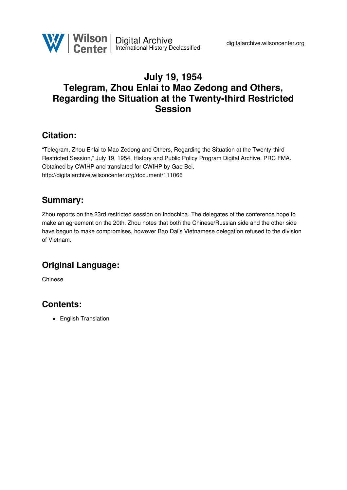

### **July 19, 1954 Telegram, Zhou Enlai to Mao Zedong and Others, Regarding the Situation at the Twenty-third Restricted Session**

### **Citation:**

"Telegram, Zhou Enlai to Mao Zedong and Others, Regarding the Situation at the Twenty-third Restricted Session," July 19, 1954, History and Public Policy Program Digital Archive, PRC FMA. Obtained by CWIHP and translated for CWIHP by Gao Bei. <http://digitalarchive.wilsoncenter.org/document/111066>

#### **Summary:**

Zhou reports on the 23rd restricted session on Indochina. The delegates of the conference hope to make an agreement on the 20th. Zhou notes that both the Chinese/Russian side and the other side have begun to make compromises, however Bao Dai's Vietnamese delegation refused to the division of Vietnam.

# **Original Language:**

Chinese

# **Contents:**

• English Translation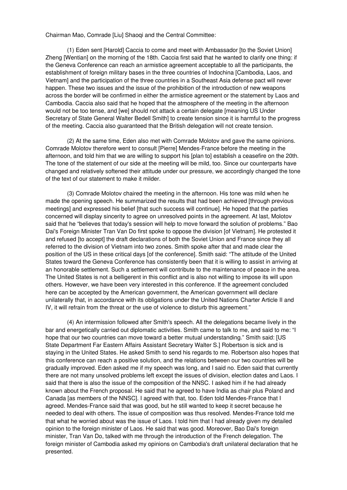Chairman Mao, Comrade [Liu] Shaoqi and the Central Committee:

(1) Eden sent [Harold] Caccia to come and meet with Ambassador [to the Soviet Union] Zheng [Wentian] on the morning of the 18th. Caccia first said that he wanted to clarify one thing: if the Geneva Conference can reach an armistice agreement acceptable to all the participants, the establishment of foreign military bases in the three countries of Indochina [Cambodia, Laos, and Vietnam] and the participation of the three countries in a Southeast Asia defense pact will never happen. These two issues and the issue of the prohibition of the introduction of new weapons across the border will be confirmed in either the armistice agreement or the statement by Laos and Cambodia. Caccia also said that he hoped that the atmosphere of the meeting in the afternoon would not be too tense, and [we] should not attack a certain delegate [meaning US Under Secretary of State General Walter Bedell Smith] to create tension since it is harmful to the progress of the meeting. Caccia also guaranteed that the British delegation will not create tension.

(2) At the same time, Eden also met with Comrade Molotov and gave the same opinions. Comrade Molotov therefore went to consult [Pierre] Mendes-France before the meeting in the afternoon, and told him that we are willing to support his [plan to] establish a ceasefire on the 20th. The tone of the statement of our side at the meeting will be mild, too. Since our counterparts have changed and relatively softened their attitude under our pressure, we accordingly changed the tone of the text of our statement to make it milder.

(3) Comrade Molotov chaired the meeting in the afternoon. His tone was mild when he made the opening speech. He summarized the results that had been achieved [through previous meetings] and expressed his belief [that such success will continue]. He hoped that the parties concerned will display sincerity to agree on unresolved points in the agreement. At last, Molotov said that he "believes that today's session will help to move forward the solution of problems." Bao Dai's Foreign Minister Tran Van Do first spoke to oppose the division [of Vietnam]. He protested it and refused [to accept] the draft declarations of both the Soviet Union and France since they all referred to the division of Vietnam into two zones. Smith spoke after that and made clear the position of the US in these critical days [of the conference]. Smith said: "The attitude of the United States toward the Geneva Conference has consistently been that it is willing to assist in arriving at an honorable settlement. Such a settlement will contribute to the maintenance of peace in the area. The United States is not a belligerent in this conflict and is also not willing to impose its will upon others. However, we have been very interested in this conference. If the agreement concluded here can be accepted by the American government, the American government will declare unilaterally that, in accordance with its obligations under the United Nations Charter Article II and IV, it will refrain from the threat or the use of violence to disturb this agreement."

(4) An intermission followed after Smith's speech. All the delegations became lively in the bar and energetically carried out diplomatic activities. Smith came to talk to me, and said to me: "I hope that our two countries can move toward a better mutual understanding." Smith said: [US State Department Far Eastern Affairs Assistant Secretary Walter S.] Robertson is sick and is staying in the United States. He asked Smith to send his regards to me. Robertson also hopes that this conference can reach a positive solution, and the relations between our two countries will be gradually improved. Eden asked me if my speech was long, and I said no. Eden said that currently there are not many unsolved problems left except the issues of division, election dates and Laos. I said that there is also the issue of the composition of the NNSC. I asked him if he had already known about the French proposal. He said that he agreed to have India as chair plus Poland and Canada [as members of the NNSC]. I agreed with that, too. Eden told Mendes-France that I agreed. Mendes-France said that was good, but he still wanted to keep it secret because he needed to deal with others. The issue of composition was thus resolved. Mendes-France told me that what he worried about was the issue of Laos. I told him that I had already given my detailed opinion to the foreign minister of Laos. He said that was good. Moreover, Bao Dai's foreign minister, Tran Van Do, talked with me through the introduction of the French delegation. The foreign minister of Cambodia asked my opinions on Cambodia's draft unilateral declaration that he presented.